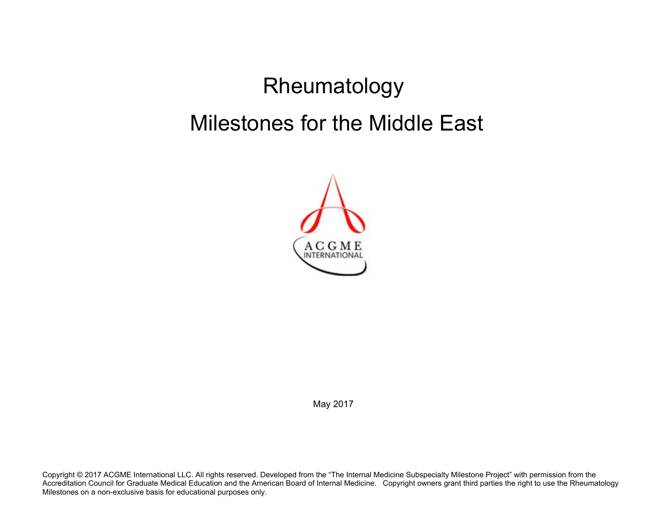# Rheumatology Milestones for the Middle East



May 2017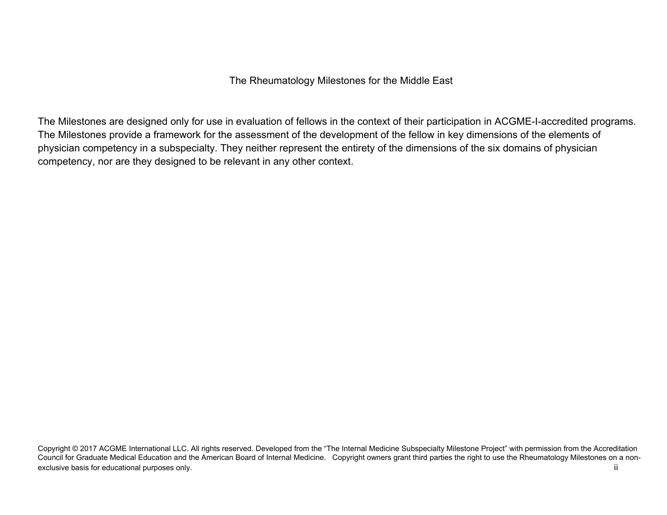The Rheumatology Milestones for the Middle East

The Milestones are designed only for use in evaluation of fellows in the context of their participation in ACGME-I-accredited programs. The Milestones provide a framework for the assessment of the development of the fellow in key dimensions of the elements of physician competency in a subspecialty. They neither represent the entirety of the dimensions of the six domains of physician competency, nor are they designed to be relevant in any other context.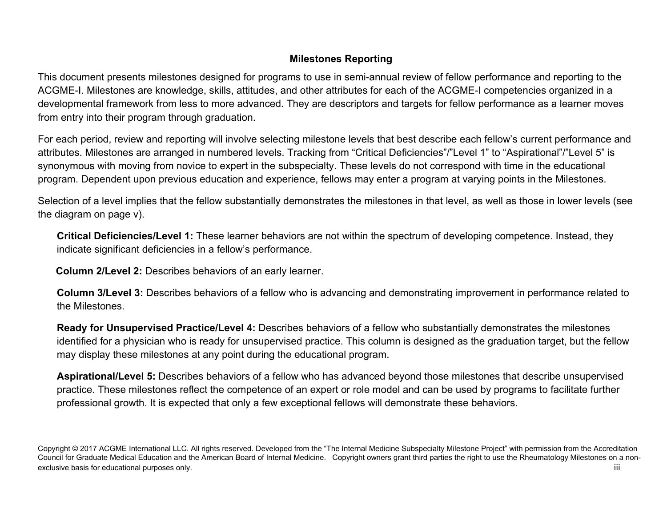# **Milestones Reporting**

This document presents milestones designed for programs to use in semi-annual review of fellow performance and reporting to the ACGME-I. Milestones are knowledge, skills, attitudes, and other attributes for each of the ACGME-I competencies organized in a developmental framework from less to more advanced. They are descriptors and targets for fellow performance as a learner moves from entry into their program through graduation.

For each period, review and reporting will involve selecting milestone levels that best describe each fellow's current performance and attributes. Milestones are arranged in numbered levels. Tracking from "Critical Deficiencies"/"Level 1" to "Aspirational"/"Level 5" is synonymous with moving from novice to expert in the subspecialty. These levels do not correspond with time in the educational program. Dependent upon previous education and experience, fellows may enter a program at varying points in the Milestones.

Selection of a level implies that the fellow substantially demonstrates the milestones in that level, as well as those in lower levels (see the diagram on page v).

**Critical Deficiencies/Level 1:** These learner behaviors are not within the spectrum of developing competence. Instead, they indicate significant deficiencies in a fellow's performance.

 **Column 2/Level 2:** Describes behaviors of an early learner.

**Column 3/Level 3:** Describes behaviors of a fellow who is advancing and demonstrating improvement in performance related to the Milestones.

**Ready for Unsupervised Practice/Level 4:** Describes behaviors of a fellow who substantially demonstrates the milestones identified for a physician who is ready for unsupervised practice. This column is designed as the graduation target, but the fellow may display these milestones at any point during the educational program.

**Aspirational/Level 5:** Describes behaviors of a fellow who has advanced beyond those milestones that describe unsupervised practice. These milestones reflect the competence of an expert or role model and can be used by programs to facilitate further professional growth. It is expected that only a few exceptional fellows will demonstrate these behaviors.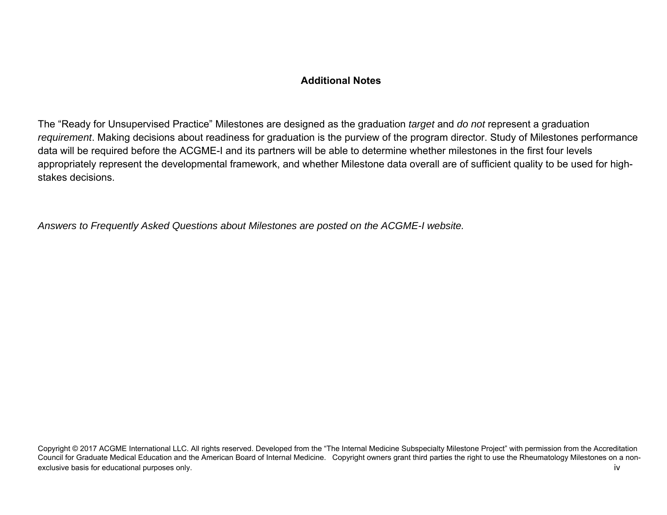### **Additional Notes**

The "Ready for Unsupervised Practice" Milestones are designed as the graduation *target* and *do not* represent a graduation *requirement*. Making decisions about readiness for graduation is the purview of the program director. Study of Milestones performance data will be required before the ACGME-I and its partners will be able to determine whether milestones in the first four levels appropriately represent the developmental framework, and whether Milestone data overall are of sufficient quality to be used for highstakes decisions.

*Answers to Frequently Asked Questions about Milestones are posted on the ACGME-I website.*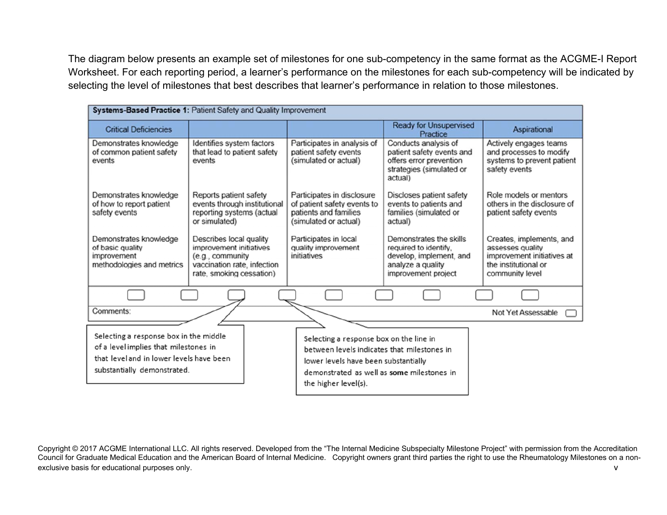The diagram below presents an example set of milestones for one sub-competency in the same format as the ACGME-I Report Worksheet. For each reporting period, a learner's performance on the milestones for each sub-competency will be indicated by selecting the level of milestones that best describes that learner's performance in relation to those milestones.

| Systems-Based Practice 1: Patient Safety and Quality Improvement                                                                                           |                                                                                                                                   |                                                                                                                                                                                                      |                                                                                                                         |                                                                                                                       |  |  |
|------------------------------------------------------------------------------------------------------------------------------------------------------------|-----------------------------------------------------------------------------------------------------------------------------------|------------------------------------------------------------------------------------------------------------------------------------------------------------------------------------------------------|-------------------------------------------------------------------------------------------------------------------------|-----------------------------------------------------------------------------------------------------------------------|--|--|
| <b>Critical Deficiencies</b>                                                                                                                               |                                                                                                                                   |                                                                                                                                                                                                      | <b>Ready for Unsupervised</b><br>Practice                                                                               | Aspirational                                                                                                          |  |  |
| Demonstrates knowledge<br>of common patient safety<br>events                                                                                               | Identifies system factors<br>that lead to patient safety<br>events                                                                | Participates in analysis of<br>patient safety events<br>(simulated or actual)                                                                                                                        | Conducts analysis of<br>patient safety events and<br>offers error prevention<br>strategies (simulated or<br>actual)     | Actively engages teams<br>and processes to modify<br>systems to prevent patient<br>safety events                      |  |  |
| Demonstrates knowledge<br>of how to report patient<br>safety events                                                                                        | Reports patient safety<br>events through institutional<br>reporting systems (actual<br>or simulated)                              | Participates in disclosure<br>of patient safety events to<br>patients and families<br>(simulated or actual)                                                                                          | Discloses patient safety<br>events to patients and<br>families (simulated or<br>actual)                                 | Role models or mentors<br>others in the disclosure of<br>patient safety events                                        |  |  |
| Demonstrates knowledge<br>of basic quality<br>improvement<br>methodologies and metrics                                                                     | Describes local quality<br>improvement initiatives<br>(e.g., community<br>vaccination rate, infection<br>rate, smoking cessation) | Participates in local<br>quality improvement<br>initiatives                                                                                                                                          | Demonstrates the skills<br>required to identify.<br>develop, implement, and<br>analyze a quality<br>improvement project | Creates, implements, and<br>assesses quality<br>improvement initiatives at<br>the institutional or<br>community level |  |  |
|                                                                                                                                                            |                                                                                                                                   |                                                                                                                                                                                                      |                                                                                                                         |                                                                                                                       |  |  |
| Comments:                                                                                                                                                  |                                                                                                                                   |                                                                                                                                                                                                      |                                                                                                                         | Not Yet Assessable                                                                                                    |  |  |
| Selecting a response box in the middle<br>of a level implies that milestones in<br>that level and in lower levels have been<br>substantially demonstrated. |                                                                                                                                   | Selecting a response box on the line in<br>between levels indicates that milestones in<br>lower levels have been substantially<br>demonstrated as well as some milestones in<br>the higher level(s). |                                                                                                                         |                                                                                                                       |  |  |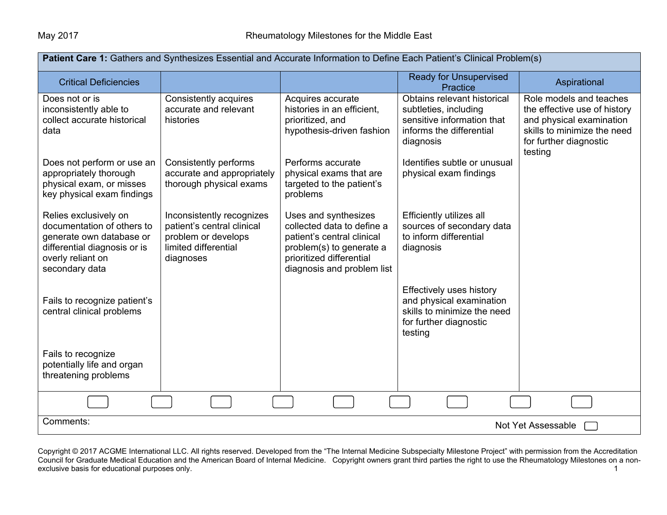| Patient Care 1: Gathers and Synthesizes Essential and Accurate Information to Define Each Patient's Clinical Problem(s) |                                                         |                                                      |                                                        |                                                         |  |  |
|-------------------------------------------------------------------------------------------------------------------------|---------------------------------------------------------|------------------------------------------------------|--------------------------------------------------------|---------------------------------------------------------|--|--|
| <b>Critical Deficiencies</b>                                                                                            |                                                         |                                                      | <b>Ready for Unsupervised</b><br>Practice              | Aspirational                                            |  |  |
| Does not or is                                                                                                          | Consistently acquires                                   | Acquires accurate                                    | Obtains relevant historical                            | Role models and teaches                                 |  |  |
| inconsistently able to                                                                                                  | accurate and relevant                                   | histories in an efficient,                           | subtleties, including                                  | the effective use of history                            |  |  |
| collect accurate historical<br>data                                                                                     | histories                                               | prioritized, and<br>hypothesis-driven fashion        | sensitive information that<br>informs the differential | and physical examination<br>skills to minimize the need |  |  |
|                                                                                                                         |                                                         |                                                      | diagnosis                                              | for further diagnostic                                  |  |  |
|                                                                                                                         |                                                         |                                                      |                                                        | testing                                                 |  |  |
| Does not perform or use an                                                                                              | Consistently performs                                   | Performs accurate                                    | Identifies subtle or unusual                           |                                                         |  |  |
| appropriately thorough<br>physical exam, or misses                                                                      | accurate and appropriately<br>thorough physical exams   | physical exams that are<br>targeted to the patient's | physical exam findings                                 |                                                         |  |  |
| key physical exam findings                                                                                              |                                                         | problems                                             |                                                        |                                                         |  |  |
|                                                                                                                         |                                                         |                                                      |                                                        |                                                         |  |  |
| Relies exclusively on<br>documentation of others to                                                                     | Inconsistently recognizes<br>patient's central clinical | Uses and synthesizes<br>collected data to define a   | Efficiently utilizes all<br>sources of secondary data  |                                                         |  |  |
| generate own database or                                                                                                | problem or develops                                     | patient's central clinical                           | to inform differential                                 |                                                         |  |  |
| differential diagnosis or is                                                                                            | limited differential                                    | problem(s) to generate a                             | diagnosis                                              |                                                         |  |  |
| overly reliant on                                                                                                       | diagnoses                                               | prioritized differential                             |                                                        |                                                         |  |  |
| secondary data                                                                                                          |                                                         | diagnosis and problem list                           |                                                        |                                                         |  |  |
|                                                                                                                         |                                                         |                                                      | <b>Effectively uses history</b>                        |                                                         |  |  |
| Fails to recognize patient's                                                                                            |                                                         |                                                      | and physical examination                               |                                                         |  |  |
| central clinical problems                                                                                               |                                                         |                                                      | skills to minimize the need<br>for further diagnostic  |                                                         |  |  |
|                                                                                                                         |                                                         |                                                      | testing                                                |                                                         |  |  |
|                                                                                                                         |                                                         |                                                      |                                                        |                                                         |  |  |
| Fails to recognize<br>potentially life and organ                                                                        |                                                         |                                                      |                                                        |                                                         |  |  |
| threatening problems                                                                                                    |                                                         |                                                      |                                                        |                                                         |  |  |
|                                                                                                                         |                                                         |                                                      |                                                        |                                                         |  |  |
|                                                                                                                         |                                                         |                                                      |                                                        |                                                         |  |  |
| Comments:                                                                                                               |                                                         |                                                      |                                                        | Not Yet Assessable                                      |  |  |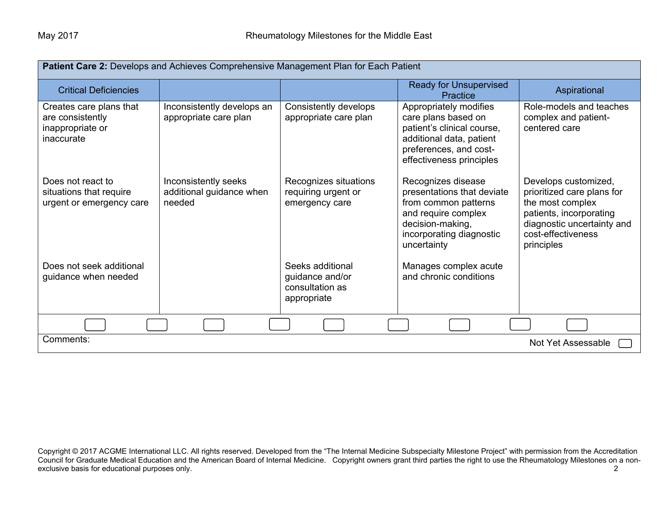| Patient Care 2: Develops and Achieves Comprehensive Management Plan for Each Patient |                                                            |                                                                       |                                                                                                                                                                |                                                                                                                                                                     |  |  |
|--------------------------------------------------------------------------------------|------------------------------------------------------------|-----------------------------------------------------------------------|----------------------------------------------------------------------------------------------------------------------------------------------------------------|---------------------------------------------------------------------------------------------------------------------------------------------------------------------|--|--|
| <b>Critical Deficiencies</b>                                                         |                                                            |                                                                       | <b>Ready for Unsupervised</b><br>Practice                                                                                                                      | Aspirational                                                                                                                                                        |  |  |
| Creates care plans that<br>are consistently<br>inappropriate or<br>inaccurate        | Inconsistently develops an<br>appropriate care plan        | Consistently develops<br>appropriate care plan                        | Appropriately modifies<br>care plans based on<br>patient's clinical course,<br>additional data, patient<br>preferences, and cost-<br>effectiveness principles  | Role-models and teaches<br>complex and patient-<br>centered care                                                                                                    |  |  |
| Does not react to<br>situations that require<br>urgent or emergency care             | Inconsistently seeks<br>additional guidance when<br>needed | Recognizes situations<br>requiring urgent or<br>emergency care        | Recognizes disease<br>presentations that deviate<br>from common patterns<br>and require complex<br>decision-making,<br>incorporating diagnostic<br>uncertainty | Develops customized,<br>prioritized care plans for<br>the most complex<br>patients, incorporating<br>diagnostic uncertainty and<br>cost-effectiveness<br>principles |  |  |
| Does not seek additional<br>guidance when needed                                     |                                                            | Seeks additional<br>guidance and/or<br>consultation as<br>appropriate | Manages complex acute<br>and chronic conditions                                                                                                                |                                                                                                                                                                     |  |  |
|                                                                                      |                                                            |                                                                       |                                                                                                                                                                |                                                                                                                                                                     |  |  |
| Comments:<br>Not Yet Assessable                                                      |                                                            |                                                                       |                                                                                                                                                                |                                                                                                                                                                     |  |  |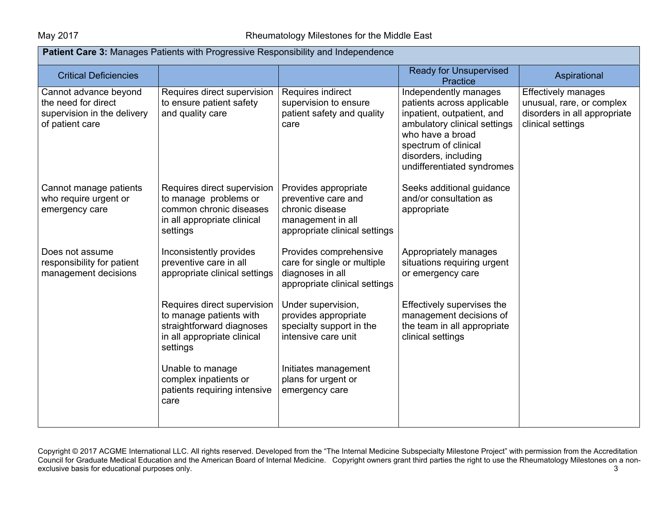| <b>Patient Care 3: Manages Patients with Progressive Responsibility and Independence</b>       |                                                                                                                                |                                                                                                                      |                                                                                                                                                                                                                     |                                                                                                              |
|------------------------------------------------------------------------------------------------|--------------------------------------------------------------------------------------------------------------------------------|----------------------------------------------------------------------------------------------------------------------|---------------------------------------------------------------------------------------------------------------------------------------------------------------------------------------------------------------------|--------------------------------------------------------------------------------------------------------------|
| <b>Critical Deficiencies</b>                                                                   |                                                                                                                                |                                                                                                                      | <b>Ready for Unsupervised</b><br>Practice                                                                                                                                                                           | Aspirational                                                                                                 |
| Cannot advance beyond<br>the need for direct<br>supervision in the delivery<br>of patient care | Requires direct supervision<br>to ensure patient safety<br>and quality care                                                    | Requires indirect<br>supervision to ensure<br>patient safety and quality<br>care                                     | Independently manages<br>patients across applicable<br>inpatient, outpatient, and<br>ambulatory clinical settings<br>who have a broad<br>spectrum of clinical<br>disorders, including<br>undifferentiated syndromes | <b>Effectively manages</b><br>unusual, rare, or complex<br>disorders in all appropriate<br>clinical settings |
| Cannot manage patients<br>who require urgent or<br>emergency care                              | Requires direct supervision<br>to manage problems or<br>common chronic diseases<br>in all appropriate clinical<br>settings     | Provides appropriate<br>preventive care and<br>chronic disease<br>management in all<br>appropriate clinical settings | Seeks additional guidance<br>and/or consultation as<br>appropriate                                                                                                                                                  |                                                                                                              |
| Does not assume<br>responsibility for patient<br>management decisions                          | Inconsistently provides<br>preventive care in all<br>appropriate clinical settings                                             | Provides comprehensive<br>care for single or multiple<br>diagnoses in all<br>appropriate clinical settings           | Appropriately manages<br>situations requiring urgent<br>or emergency care                                                                                                                                           |                                                                                                              |
|                                                                                                | Requires direct supervision<br>to manage patients with<br>straightforward diagnoses<br>in all appropriate clinical<br>settings | Under supervision,<br>provides appropriate<br>specialty support in the<br>intensive care unit                        | Effectively supervises the<br>management decisions of<br>the team in all appropriate<br>clinical settings                                                                                                           |                                                                                                              |
|                                                                                                | Unable to manage<br>complex inpatients or<br>patients requiring intensive<br>care                                              | Initiates management<br>plans for urgent or<br>emergency care                                                        |                                                                                                                                                                                                                     |                                                                                                              |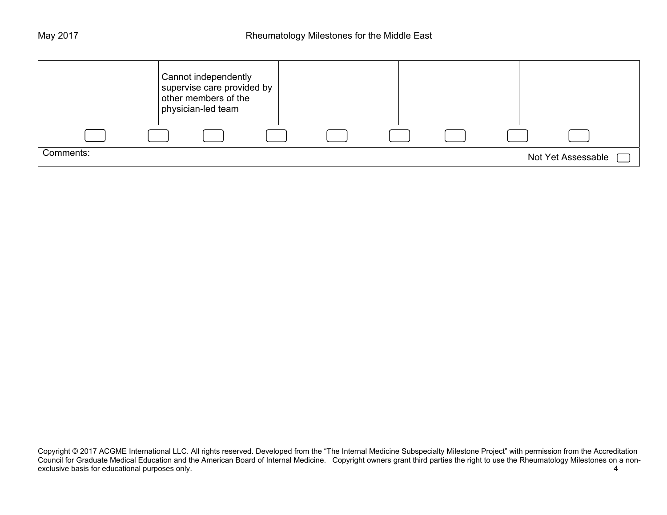|           | Cannot independently<br>supervise care provided by<br>other members of the<br>physician-led team |  |  |                    |
|-----------|--------------------------------------------------------------------------------------------------|--|--|--------------------|
|           |                                                                                                  |  |  |                    |
| Comments: |                                                                                                  |  |  | Not Yet Assessable |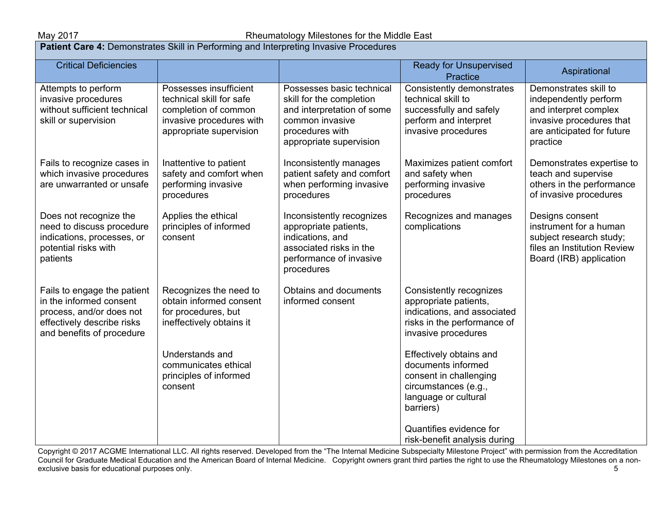May 2017 **Rheumatology Milestones for the Middle East** Research Review Rheumatology Milestones for the Middle East **Patient Care 4: Demonstrates Skill in Performing and Interpreting Invasive Procedures** Critical Deficiencies (Enterprised Enterprised Enterprised Enterprised Enterprised Enterprised Enterprised Enterprised Practice **Aspirational** Attempts to perform invasive procedures without sufficient technical skill or supervision Fails to recognize cases in which invasive procedures are unwarranted or unsafe Does not recognize the need to discuss procedure indications, processes, or potential risks with patients Fails to engage the patient in the informed consent process, and/or does not effectively describe risks and benefits of procedure Possesses insufficient technical skill for safe completion of common invasive procedures with appropriate supervision Inattentive to patient safety and comfort when performing invasive procedures Applies the ethical principles of informed consent Recognizes the need to obtain informed consent for procedures, but ineffectively obtains it Understands and communicates ethical principles of informed consent Possesses basic technical skill for the completion and interpretation of some common invasive procedures with appropriate supervision Inconsistently manages patient safety and comfort when performing invasive procedures Inconsistently recognizes appropriate patients, indications, and associated risks in the performance of invasive procedures Obtains and documents informed consent Consistently demonstrates technical skill to successfully and safely perform and interpret invasive procedures Maximizes patient comfort and safety when performing invasive procedures Recognizes and manages complications Consistently recognizes appropriate patients, indications, and associated risks in the performance of invasive procedures Effectively obtains and documents informed consent in challenging circumstances (e.g., language or cultural Demonstrates skill to independently perform and interpret complex invasive procedures that are anticipated for future practice Demonstrates expertise to teach and supervise others in the performance of invasive procedures Designs consent instrument for a human subject research study; files an Institution Review Board (IRB) application

Copyright © 2017 ACGME International LLC. All rights reserved. Developed from the "The Internal Medicine Subspecialty Milestone Project" with permission from the Accreditation Council for Graduate Medical Education and the American Board of Internal Medicine. Copyright owners grant third parties the right to use the Rheumatology Milestones on a nonexclusive basis for educational purposes only. 5

barriers)

Quantifies evidence for risk-benefit analysis during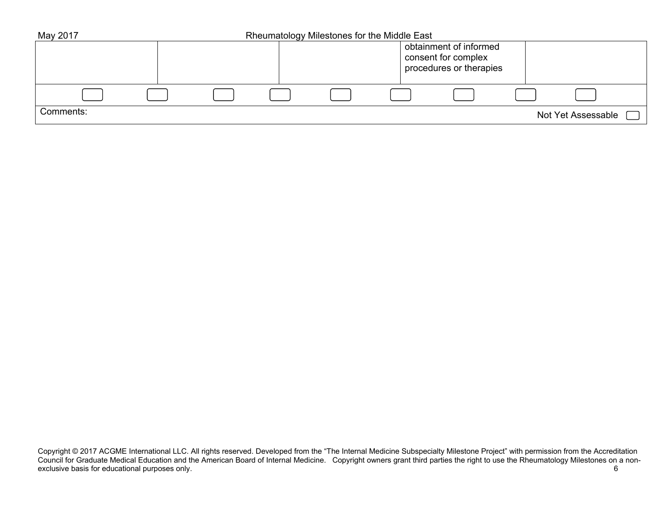| May 2017  |  | Rheumatology Milestones for the Middle East |                                                                          |  |                    |  |
|-----------|--|---------------------------------------------|--------------------------------------------------------------------------|--|--------------------|--|
|           |  |                                             | obtainment of informed<br>consent for complex<br>procedures or therapies |  |                    |  |
|           |  |                                             |                                                                          |  |                    |  |
| Comments: |  |                                             |                                                                          |  | Not Yet Assessable |  |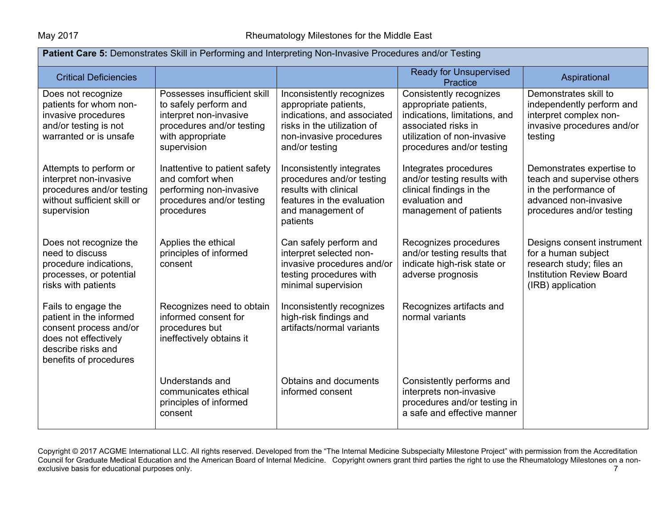| Patient Care 5: Demonstrates Skill in Performing and Interpreting Non-Invasive Procedures and/or Testing                                         |                                                                                                                                                 |                                                                                                                                                               |                                                                                                                                                                      |                                                                                                                                        |  |
|--------------------------------------------------------------------------------------------------------------------------------------------------|-------------------------------------------------------------------------------------------------------------------------------------------------|---------------------------------------------------------------------------------------------------------------------------------------------------------------|----------------------------------------------------------------------------------------------------------------------------------------------------------------------|----------------------------------------------------------------------------------------------------------------------------------------|--|
| <b>Critical Deficiencies</b>                                                                                                                     |                                                                                                                                                 |                                                                                                                                                               | <b>Ready for Unsupervised</b><br><b>Practice</b>                                                                                                                     | Aspirational                                                                                                                           |  |
| Does not recognize<br>patients for whom non-<br>invasive procedures<br>and/or testing is not<br>warranted or is unsafe                           | Possesses insufficient skill<br>to safely perform and<br>interpret non-invasive<br>procedures and/or testing<br>with appropriate<br>supervision | Inconsistently recognizes<br>appropriate patients,<br>indications, and associated<br>risks in the utilization of<br>non-invasive procedures<br>and/or testing | Consistently recognizes<br>appropriate patients,<br>indications, limitations, and<br>associated risks in<br>utilization of non-invasive<br>procedures and/or testing | Demonstrates skill to<br>independently perform and<br>interpret complex non-<br>invasive procedures and/or<br>testing                  |  |
| Attempts to perform or<br>interpret non-invasive<br>procedures and/or testing<br>without sufficient skill or<br>supervision                      | Inattentive to patient safety<br>and comfort when<br>performing non-invasive<br>procedures and/or testing<br>procedures                         | Inconsistently integrates<br>procedures and/or testing<br>results with clinical<br>features in the evaluation<br>and management of<br>patients                | Integrates procedures<br>and/or testing results with<br>clinical findings in the<br>evaluation and<br>management of patients                                         | Demonstrates expertise to<br>teach and supervise others<br>in the performance of<br>advanced non-invasive<br>procedures and/or testing |  |
| Does not recognize the<br>need to discuss<br>procedure indications,<br>processes, or potential<br>risks with patients                            | Applies the ethical<br>principles of informed<br>consent                                                                                        | Can safely perform and<br>interpret selected non-<br>invasive procedures and/or<br>testing procedures with<br>minimal supervision                             | Recognizes procedures<br>and/or testing results that<br>indicate high-risk state or<br>adverse prognosis                                                             | Designs consent instrument<br>for a human subject<br>research study; files an<br><b>Institution Review Board</b><br>(IRB) application  |  |
| Fails to engage the<br>patient in the informed<br>consent process and/or<br>does not effectively<br>describe risks and<br>benefits of procedures | Recognizes need to obtain<br>informed consent for<br>procedures but<br>ineffectively obtains it                                                 | Inconsistently recognizes<br>high-risk findings and<br>artifacts/normal variants                                                                              | Recognizes artifacts and<br>normal variants                                                                                                                          |                                                                                                                                        |  |
|                                                                                                                                                  | Understands and<br>communicates ethical<br>principles of informed<br>consent                                                                    | Obtains and documents<br>informed consent                                                                                                                     | Consistently performs and<br>interprets non-invasive<br>procedures and/or testing in<br>a safe and effective manner                                                  |                                                                                                                                        |  |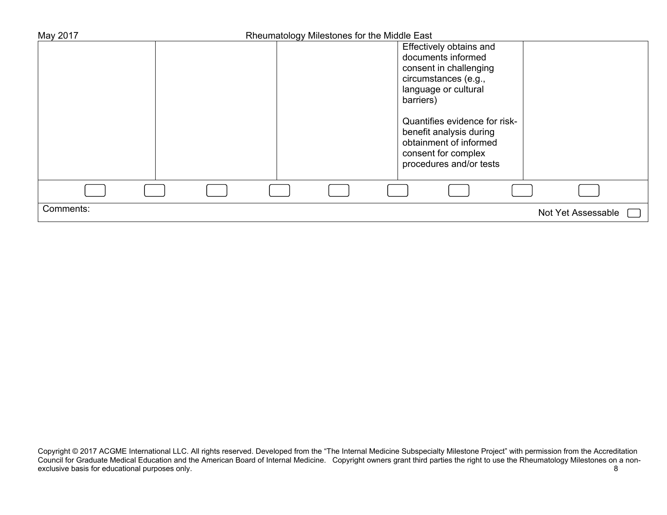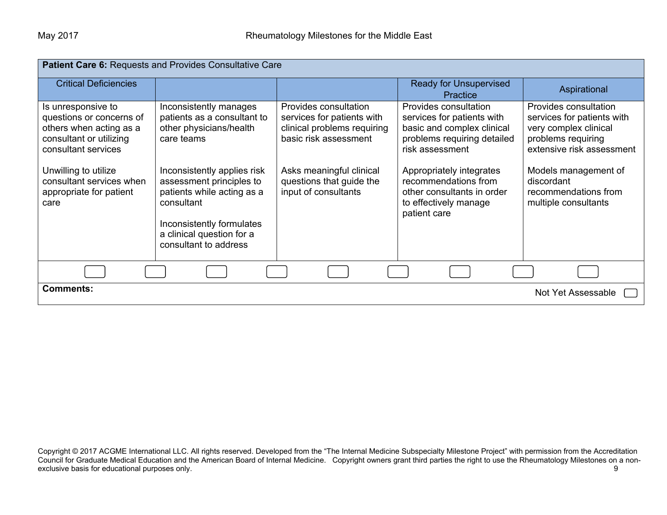| Patient Care 6: Requests and Provides Consultative Care                                                                                                                                                            |                                                                                                                                                                                                       |                                                                                                                                                                                             |                                                                                                                                                                                                                                                |                                                                                                                                                                                                                       |  |  |
|--------------------------------------------------------------------------------------------------------------------------------------------------------------------------------------------------------------------|-------------------------------------------------------------------------------------------------------------------------------------------------------------------------------------------------------|---------------------------------------------------------------------------------------------------------------------------------------------------------------------------------------------|------------------------------------------------------------------------------------------------------------------------------------------------------------------------------------------------------------------------------------------------|-----------------------------------------------------------------------------------------------------------------------------------------------------------------------------------------------------------------------|--|--|
| <b>Critical Deficiencies</b>                                                                                                                                                                                       |                                                                                                                                                                                                       |                                                                                                                                                                                             | <b>Ready for Unsupervised</b><br>Practice                                                                                                                                                                                                      | Aspirational                                                                                                                                                                                                          |  |  |
| Is unresponsive to<br>questions or concerns of<br>others when acting as a<br>consultant or utilizing<br>consultant services<br>Unwilling to utilize<br>consultant services when<br>appropriate for patient<br>care | Inconsistently manages<br>patients as a consultant to<br>other physicians/health<br>care teams<br>Inconsistently applies risk<br>assessment principles to<br>patients while acting as a<br>consultant | Provides consultation<br>services for patients with<br>clinical problems requiring<br>basic risk assessment<br>Asks meaningful clinical<br>questions that guide the<br>input of consultants | Provides consultation<br>services for patients with<br>basic and complex clinical<br>problems requiring detailed<br>risk assessment<br>Appropriately integrates<br>recommendations from<br>other consultants in order<br>to effectively manage | Provides consultation<br>services for patients with<br>very complex clinical<br>problems requiring<br>extensive risk assessment<br>Models management of<br>discordant<br>recommendations from<br>multiple consultants |  |  |
|                                                                                                                                                                                                                    | Inconsistently formulates<br>a clinical question for a<br>consultant to address                                                                                                                       |                                                                                                                                                                                             | patient care                                                                                                                                                                                                                                   |                                                                                                                                                                                                                       |  |  |
|                                                                                                                                                                                                                    |                                                                                                                                                                                                       |                                                                                                                                                                                             |                                                                                                                                                                                                                                                |                                                                                                                                                                                                                       |  |  |
| <b>Comments:</b>                                                                                                                                                                                                   |                                                                                                                                                                                                       |                                                                                                                                                                                             |                                                                                                                                                                                                                                                | Not Yet Assessable                                                                                                                                                                                                    |  |  |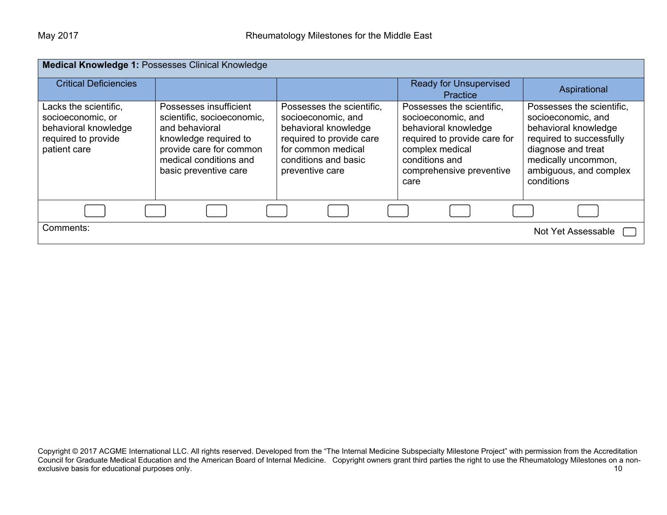| <b>Medical Knowledge 1: Possesses Clinical Knowledge</b>                                                  |                                                                                                                                                                               |                                                                                                                                                                      |                                                                                                                                                                                  |                                                                                                                                                                                          |  |  |
|-----------------------------------------------------------------------------------------------------------|-------------------------------------------------------------------------------------------------------------------------------------------------------------------------------|----------------------------------------------------------------------------------------------------------------------------------------------------------------------|----------------------------------------------------------------------------------------------------------------------------------------------------------------------------------|------------------------------------------------------------------------------------------------------------------------------------------------------------------------------------------|--|--|
| <b>Critical Deficiencies</b>                                                                              |                                                                                                                                                                               |                                                                                                                                                                      | <b>Ready for Unsupervised</b><br>Practice                                                                                                                                        | Aspirational                                                                                                                                                                             |  |  |
| Lacks the scientific,<br>socioeconomic, or<br>behavioral knowledge<br>required to provide<br>patient care | Possesses insufficient<br>scientific, socioeconomic,<br>and behavioral<br>knowledge required to<br>provide care for common<br>medical conditions and<br>basic preventive care | Possesses the scientific,<br>socioeconomic, and<br>behavioral knowledge<br>required to provide care<br>for common medical<br>conditions and basic<br>preventive care | Possesses the scientific,<br>socioeconomic, and<br>behavioral knowledge<br>required to provide care for<br>complex medical<br>conditions and<br>comprehensive preventive<br>care | Possesses the scientific,<br>socioeconomic, and<br>behavioral knowledge<br>required to successfully<br>diagnose and treat<br>medically uncommon,<br>ambiguous, and complex<br>conditions |  |  |
|                                                                                                           |                                                                                                                                                                               |                                                                                                                                                                      |                                                                                                                                                                                  |                                                                                                                                                                                          |  |  |
| Comments:                                                                                                 |                                                                                                                                                                               |                                                                                                                                                                      |                                                                                                                                                                                  | Not Yet Assessable                                                                                                                                                                       |  |  |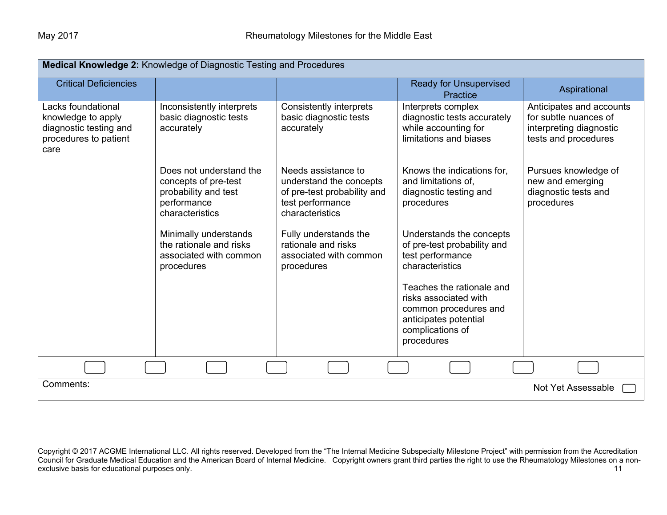| Medical Knowledge 2: Knowledge of Diagnostic Testing and Procedures                                 |                                                                                                           |                                                                                                                      |                                                                                                                                        |                                                                                                      |  |
|-----------------------------------------------------------------------------------------------------|-----------------------------------------------------------------------------------------------------------|----------------------------------------------------------------------------------------------------------------------|----------------------------------------------------------------------------------------------------------------------------------------|------------------------------------------------------------------------------------------------------|--|
| <b>Critical Deficiencies</b>                                                                        |                                                                                                           |                                                                                                                      | <b>Ready for Unsupervised</b><br><b>Practice</b>                                                                                       | Aspirational                                                                                         |  |
| Lacks foundational<br>knowledge to apply<br>diagnostic testing and<br>procedures to patient<br>care | Inconsistently interprets<br>basic diagnostic tests<br>accurately                                         | <b>Consistently interprets</b><br>basic diagnostic tests<br>accurately                                               | Interprets complex<br>diagnostic tests accurately<br>while accounting for<br>limitations and biases                                    | Anticipates and accounts<br>for subtle nuances of<br>interpreting diagnostic<br>tests and procedures |  |
|                                                                                                     | Does not understand the<br>concepts of pre-test<br>probability and test<br>performance<br>characteristics | Needs assistance to<br>understand the concepts<br>of pre-test probability and<br>test performance<br>characteristics | Knows the indications for,<br>and limitations of.<br>diagnostic testing and<br>procedures                                              | Pursues knowledge of<br>new and emerging<br>diagnostic tests and<br>procedures                       |  |
|                                                                                                     | Minimally understands<br>the rationale and risks<br>associated with common<br>procedures                  | Fully understands the<br>rationale and risks<br>associated with common<br>procedures                                 | Understands the concepts<br>of pre-test probability and<br>test performance<br>characteristics                                         |                                                                                                      |  |
|                                                                                                     |                                                                                                           |                                                                                                                      | Teaches the rationale and<br>risks associated with<br>common procedures and<br>anticipates potential<br>complications of<br>procedures |                                                                                                      |  |
|                                                                                                     |                                                                                                           |                                                                                                                      |                                                                                                                                        |                                                                                                      |  |
| Comments:                                                                                           |                                                                                                           |                                                                                                                      |                                                                                                                                        | Not Yet Assessable                                                                                   |  |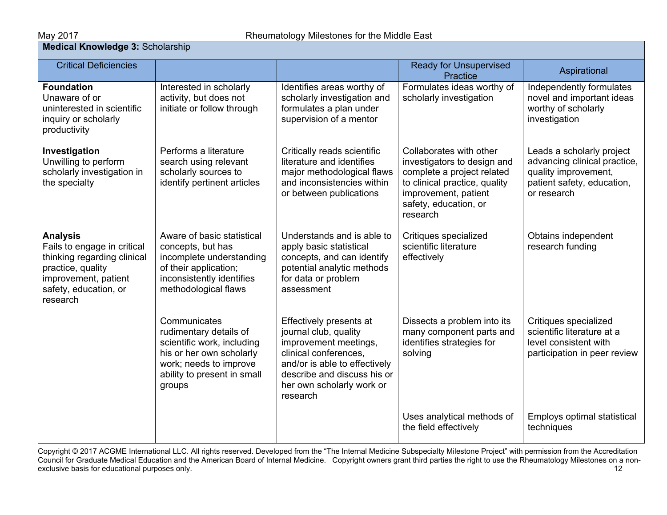# **May 2017**<br>**Medical Knowledge 3:** Scholarship

| <b>Critical Deficiencies</b>                                                                                                                                    |                                                                                                                                                                     |                                                                                                                                                                                                             | <b>Ready for Unsupervised</b><br>Practice                                                                                                                                          | Aspirational                                                                                                                   |  |  |  |
|-----------------------------------------------------------------------------------------------------------------------------------------------------------------|---------------------------------------------------------------------------------------------------------------------------------------------------------------------|-------------------------------------------------------------------------------------------------------------------------------------------------------------------------------------------------------------|------------------------------------------------------------------------------------------------------------------------------------------------------------------------------------|--------------------------------------------------------------------------------------------------------------------------------|--|--|--|
| <b>Foundation</b><br>Unaware of or<br>uninterested in scientific<br>inquiry or scholarly<br>productivity                                                        | Interested in scholarly<br>activity, but does not<br>initiate or follow through                                                                                     | Identifies areas worthy of<br>scholarly investigation and<br>formulates a plan under<br>supervision of a mentor                                                                                             | Formulates ideas worthy of<br>scholarly investigation                                                                                                                              | Independently formulates<br>novel and important ideas<br>worthy of scholarly<br>investigation                                  |  |  |  |
| Investigation<br>Unwilling to perform<br>scholarly investigation in<br>the specialty                                                                            | Performs a literature<br>search using relevant<br>scholarly sources to<br>identify pertinent articles                                                               | Critically reads scientific<br>literature and identifies<br>major methodological flaws<br>and inconsistencies within<br>or between publications                                                             | Collaborates with other<br>investigators to design and<br>complete a project related<br>to clinical practice, quality<br>improvement, patient<br>safety, education, or<br>research | Leads a scholarly project<br>advancing clinical practice,<br>quality improvement,<br>patient safety, education,<br>or research |  |  |  |
| <b>Analysis</b><br>Fails to engage in critical<br>thinking regarding clinical<br>practice, quality<br>improvement, patient<br>safety, education, or<br>research | Aware of basic statistical<br>concepts, but has<br>incomplete understanding<br>of their application;<br>inconsistently identifies<br>methodological flaws           | Understands and is able to<br>apply basic statistical<br>concepts, and can identify<br>potential analytic methods<br>for data or problem<br>assessment                                                      | Critiques specialized<br>scientific literature<br>effectively                                                                                                                      | Obtains independent<br>research funding                                                                                        |  |  |  |
|                                                                                                                                                                 | Communicates<br>rudimentary details of<br>scientific work, including<br>his or her own scholarly<br>work; needs to improve<br>ability to present in small<br>groups | Effectively presents at<br>journal club, quality<br>improvement meetings,<br>clinical conferences,<br>and/or is able to effectively<br>describe and discuss his or<br>her own scholarly work or<br>research | Dissects a problem into its<br>many component parts and<br>identifies strategies for<br>solving                                                                                    | Critiques specialized<br>scientific literature at a<br>level consistent with<br>participation in peer review                   |  |  |  |
|                                                                                                                                                                 |                                                                                                                                                                     |                                                                                                                                                                                                             | Uses analytical methods of<br>the field effectively                                                                                                                                | Employs optimal statistical<br>techniques                                                                                      |  |  |  |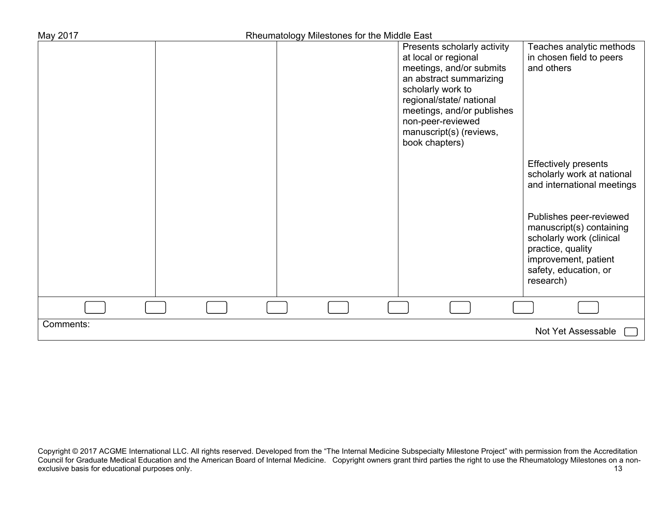| May 2017  | Rheumatology Milestones for the Middle East |                                                                                                                                                                                                                                                             |                                                                                                                                                                                                                                                               |
|-----------|---------------------------------------------|-------------------------------------------------------------------------------------------------------------------------------------------------------------------------------------------------------------------------------------------------------------|---------------------------------------------------------------------------------------------------------------------------------------------------------------------------------------------------------------------------------------------------------------|
|           |                                             | Presents scholarly activity<br>at local or regional<br>meetings, and/or submits<br>an abstract summarizing<br>scholarly work to<br>regional/state/ national<br>meetings, and/or publishes<br>non-peer-reviewed<br>manuscript(s) (reviews,<br>book chapters) | Teaches analytic methods<br>in chosen field to peers<br>and others                                                                                                                                                                                            |
|           |                                             |                                                                                                                                                                                                                                                             | <b>Effectively presents</b><br>scholarly work at national<br>and international meetings<br>Publishes peer-reviewed<br>manuscript(s) containing<br>scholarly work (clinical<br>practice, quality<br>improvement, patient<br>safety, education, or<br>research) |
|           |                                             |                                                                                                                                                                                                                                                             |                                                                                                                                                                                                                                                               |
| Comments: |                                             |                                                                                                                                                                                                                                                             | Not Yet Assessable                                                                                                                                                                                                                                            |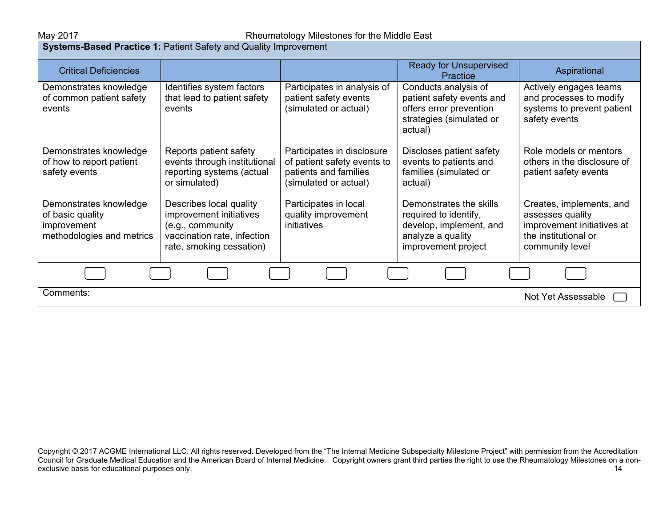#### May 2017 Rheumatology Milestones for the Middle East

**Systems-Based Practice 1:** Patient Safety and Quality Improvement

| <b>Critical Deficiencies</b>                                                           |                                                                                                                                   |                                                                                                             | <b>Ready for Unsupervised</b><br>Practice                                                                               | Aspirational                                                                                                          |
|----------------------------------------------------------------------------------------|-----------------------------------------------------------------------------------------------------------------------------------|-------------------------------------------------------------------------------------------------------------|-------------------------------------------------------------------------------------------------------------------------|-----------------------------------------------------------------------------------------------------------------------|
| Demonstrates knowledge<br>of common patient safety<br>events                           | Identifies system factors<br>that lead to patient safety<br>events                                                                | Participates in analysis of<br>patient safety events<br>(simulated or actual)                               | Conducts analysis of<br>patient safety events and<br>offers error prevention<br>strategies (simulated or<br>actual)     | Actively engages teams<br>and processes to modify<br>systems to prevent patient<br>safety events                      |
| Demonstrates knowledge<br>of how to report patient<br>safety events                    | Reports patient safety<br>events through institutional<br>reporting systems (actual<br>or simulated)                              | Participates in disclosure<br>of patient safety events to<br>patients and families<br>(simulated or actual) | Discloses patient safety<br>events to patients and<br>families (simulated or<br>actual)                                 | Role models or mentors<br>others in the disclosure of<br>patient safety events                                        |
| Demonstrates knowledge<br>of basic quality<br>improvement<br>methodologies and metrics | Describes local quality<br>improvement initiatives<br>(e.g., community<br>vaccination rate, infection<br>rate, smoking cessation) | Participates in local<br>quality improvement<br>initiatives                                                 | Demonstrates the skills<br>required to identify,<br>develop, implement, and<br>analyze a quality<br>improvement project | Creates, implements, and<br>assesses quality<br>improvement initiatives at<br>the institutional or<br>community level |
|                                                                                        |                                                                                                                                   |                                                                                                             |                                                                                                                         |                                                                                                                       |
| Comments:                                                                              |                                                                                                                                   |                                                                                                             |                                                                                                                         | Not Yet Assessable                                                                                                    |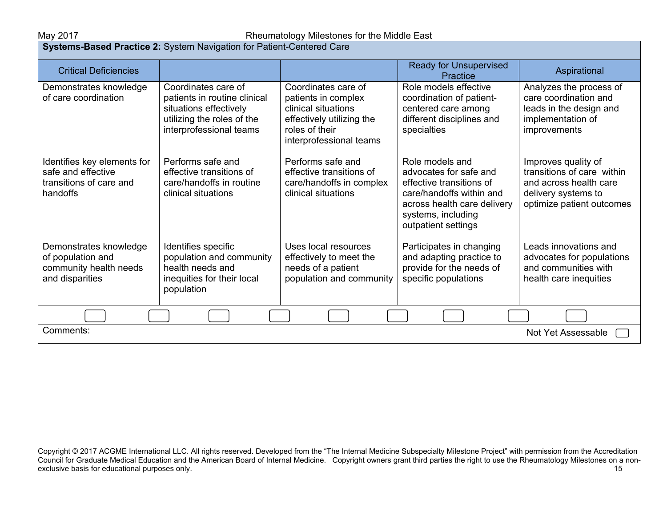### May 2017 May 2017 **Rheumatology Milestones for the Middle East**

| Systems-Based Practice 2: System Navigation for Patient-Centered Care                    |                                                                                                                                        |                                                                                                                                             |                                                                                                                                                                               |                                                                                                                                 |
|------------------------------------------------------------------------------------------|----------------------------------------------------------------------------------------------------------------------------------------|---------------------------------------------------------------------------------------------------------------------------------------------|-------------------------------------------------------------------------------------------------------------------------------------------------------------------------------|---------------------------------------------------------------------------------------------------------------------------------|
| <b>Critical Deficiencies</b>                                                             |                                                                                                                                        |                                                                                                                                             | <b>Ready for Unsupervised</b><br>Practice                                                                                                                                     | Aspirational                                                                                                                    |
| Demonstrates knowledge<br>of care coordination                                           | Coordinates care of<br>patients in routine clinical<br>situations effectively<br>utilizing the roles of the<br>interprofessional teams | Coordinates care of<br>patients in complex<br>clinical situations<br>effectively utilizing the<br>roles of their<br>interprofessional teams | Role models effective<br>coordination of patient-<br>centered care among<br>different disciplines and<br>specialties                                                          | Analyzes the process of<br>care coordination and<br>leads in the design and<br>implementation of<br>improvements                |
| Identifies key elements for<br>safe and effective<br>transitions of care and<br>handoffs | Performs safe and<br>effective transitions of<br>care/handoffs in routine<br>clinical situations                                       | Performs safe and<br>effective transitions of<br>care/handoffs in complex<br>clinical situations                                            | Role models and<br>advocates for safe and<br>effective transitions of<br>care/handoffs within and<br>across health care delivery<br>systems, including<br>outpatient settings | Improves quality of<br>transitions of care within<br>and across health care<br>delivery systems to<br>optimize patient outcomes |
| Demonstrates knowledge<br>of population and<br>community health needs<br>and disparities | Identifies specific<br>population and community<br>health needs and<br>inequities for their local<br>population                        | Uses local resources<br>effectively to meet the<br>needs of a patient<br>population and community                                           | Participates in changing<br>and adapting practice to<br>provide for the needs of<br>specific populations                                                                      | Leads innovations and<br>advocates for populations<br>and communities with<br>health care inequities                            |
|                                                                                          |                                                                                                                                        |                                                                                                                                             |                                                                                                                                                                               |                                                                                                                                 |
| Comments:<br><b>Not Yet Assessable</b>                                                   |                                                                                                                                        |                                                                                                                                             |                                                                                                                                                                               |                                                                                                                                 |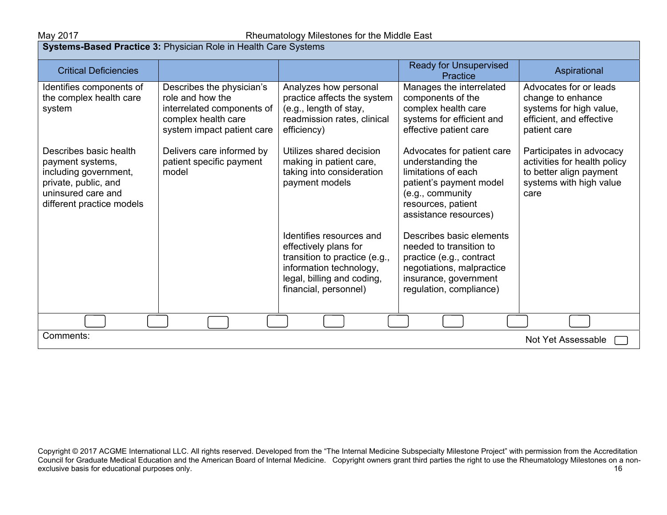# May 2017 May 2017 Rheumatology Milestones for the Middle East

| <b>Systems-Based Practice 3: Physician Role in Health Care Systems</b>                                                                         |                                                                                                                                  |                                                                                                                                                                      |                                                                                                                                                                      |                                                                                                                        |
|------------------------------------------------------------------------------------------------------------------------------------------------|----------------------------------------------------------------------------------------------------------------------------------|----------------------------------------------------------------------------------------------------------------------------------------------------------------------|----------------------------------------------------------------------------------------------------------------------------------------------------------------------|------------------------------------------------------------------------------------------------------------------------|
| <b>Critical Deficiencies</b>                                                                                                                   |                                                                                                                                  |                                                                                                                                                                      | <b>Ready for Unsupervised</b><br>Practice                                                                                                                            | Aspirational                                                                                                           |
| Identifies components of<br>the complex health care<br>system                                                                                  | Describes the physician's<br>role and how the<br>interrelated components of<br>complex health care<br>system impact patient care | Analyzes how personal<br>practice affects the system<br>(e.g., length of stay,<br>readmission rates, clinical<br>efficiency)                                         | Manages the interrelated<br>components of the<br>complex health care<br>systems for efficient and<br>effective patient care                                          | Advocates for or leads<br>change to enhance<br>systems for high value,<br>efficient, and effective<br>patient care     |
| Describes basic health<br>payment systems,<br>including government,<br>private, public, and<br>uninsured care and<br>different practice models | Delivers care informed by<br>patient specific payment<br>model                                                                   | Utilizes shared decision<br>making in patient care,<br>taking into consideration<br>payment models                                                                   | Advocates for patient care<br>understanding the<br>limitations of each<br>patient's payment model<br>(e.g., community<br>resources, patient<br>assistance resources) | Participates in advocacy<br>activities for health policy<br>to better align payment<br>systems with high value<br>care |
|                                                                                                                                                |                                                                                                                                  | Identifies resources and<br>effectively plans for<br>transition to practice (e.g.,<br>information technology,<br>legal, billing and coding,<br>financial, personnel) | Describes basic elements<br>needed to transition to<br>practice (e.g., contract<br>negotiations, malpractice<br>insurance, government<br>regulation, compliance)     |                                                                                                                        |
|                                                                                                                                                |                                                                                                                                  |                                                                                                                                                                      |                                                                                                                                                                      |                                                                                                                        |
| Comments:<br>Not Yet Assessable                                                                                                                |                                                                                                                                  |                                                                                                                                                                      |                                                                                                                                                                      |                                                                                                                        |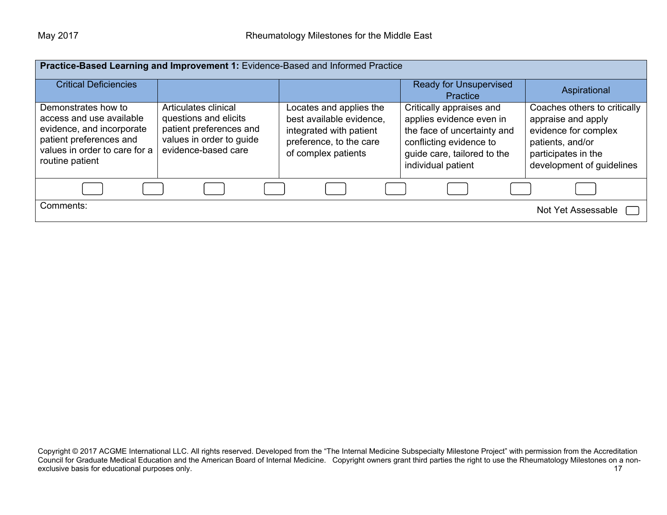|                                                                                                                                                             | Practice-Based Learning and Improvement 1: Evidence-Based and Informed Practice                                             |                                                                                                                                  |                                                                                                                                                                     |                                                                                                                                                    |
|-------------------------------------------------------------------------------------------------------------------------------------------------------------|-----------------------------------------------------------------------------------------------------------------------------|----------------------------------------------------------------------------------------------------------------------------------|---------------------------------------------------------------------------------------------------------------------------------------------------------------------|----------------------------------------------------------------------------------------------------------------------------------------------------|
| <b>Critical Deficiencies</b>                                                                                                                                |                                                                                                                             |                                                                                                                                  | <b>Ready for Unsupervised</b><br>Practice                                                                                                                           | Aspirational                                                                                                                                       |
| Demonstrates how to<br>access and use available<br>evidence, and incorporate<br>patient preferences and<br>values in order to care for a<br>routine patient | Articulates clinical<br>questions and elicits<br>patient preferences and<br>values in order to guide<br>evidence-based care | Locates and applies the<br>best available evidence,<br>integrated with patient<br>preference, to the care<br>of complex patients | Critically appraises and<br>applies evidence even in<br>the face of uncertainty and<br>conflicting evidence to<br>guide care, tailored to the<br>individual patient | Coaches others to critically<br>appraise and apply<br>evidence for complex<br>patients, and/or<br>participates in the<br>development of guidelines |
|                                                                                                                                                             |                                                                                                                             |                                                                                                                                  |                                                                                                                                                                     |                                                                                                                                                    |
| Comments:                                                                                                                                                   |                                                                                                                             |                                                                                                                                  |                                                                                                                                                                     | Not Yet Assessable                                                                                                                                 |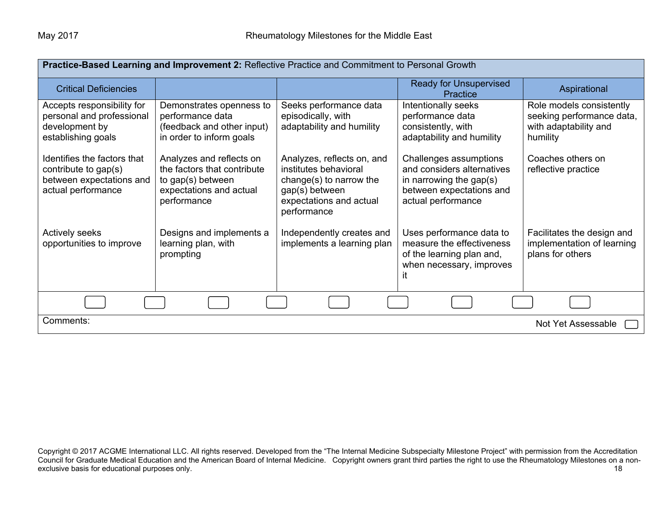| Practice-Based Learning and Improvement 2: Reflective Practice and Commitment to Personal Growth      |                                                                                                                        |                                                                                                                                            |                                                                                                                                   |                                                                                            |
|-------------------------------------------------------------------------------------------------------|------------------------------------------------------------------------------------------------------------------------|--------------------------------------------------------------------------------------------------------------------------------------------|-----------------------------------------------------------------------------------------------------------------------------------|--------------------------------------------------------------------------------------------|
| <b>Critical Deficiencies</b>                                                                          |                                                                                                                        |                                                                                                                                            | <b>Ready for Unsupervised</b><br>Practice                                                                                         | Aspirational                                                                               |
| Accepts responsibility for<br>personal and professional<br>development by<br>establishing goals       | Demonstrates openness to<br>performance data<br>(feedback and other input)<br>in order to inform goals                 | Seeks performance data<br>episodically, with<br>adaptability and humility                                                                  | Intentionally seeks<br>performance data<br>consistently, with<br>adaptability and humility                                        | Role models consistently<br>seeking performance data,<br>with adaptability and<br>humility |
| Identifies the factors that<br>contribute to gap(s)<br>between expectations and<br>actual performance | Analyzes and reflects on<br>the factors that contribute<br>to gap(s) between<br>expectations and actual<br>performance | Analyzes, reflects on, and<br>institutes behavioral<br>change(s) to narrow the<br>gap(s) between<br>expectations and actual<br>performance | Challenges assumptions<br>and considers alternatives<br>in narrowing the gap(s)<br>between expectations and<br>actual performance | Coaches others on<br>reflective practice                                                   |
| <b>Actively seeks</b><br>opportunities to improve                                                     | Designs and implements a<br>learning plan, with<br>prompting                                                           | Independently creates and<br>implements a learning plan                                                                                    | Uses performance data to<br>measure the effectiveness<br>of the learning plan and,<br>when necessary, improves<br>it              | Facilitates the design and<br>implementation of learning<br>plans for others               |
|                                                                                                       |                                                                                                                        |                                                                                                                                            |                                                                                                                                   |                                                                                            |
| Comments:<br>Not Yet Assessable                                                                       |                                                                                                                        |                                                                                                                                            |                                                                                                                                   |                                                                                            |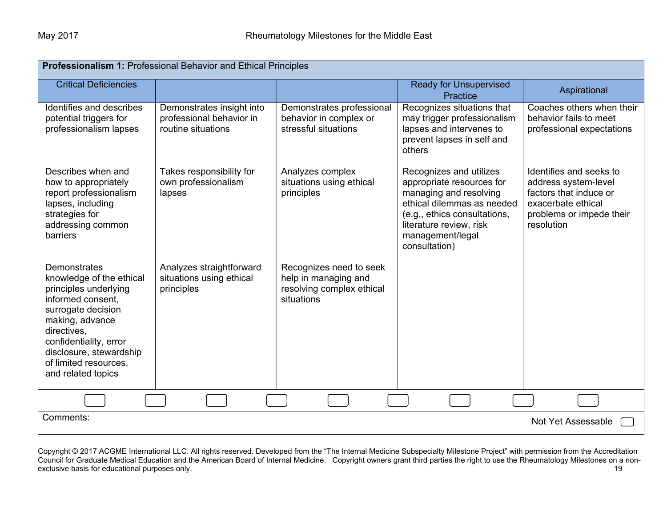| Professionalism 1: Professional Behavior and Ethical Principles                                                                                                                                                                                    |                                                                             |                                                                                            |                                                                                                                                                                                                              |                                                                                                                                           |  |
|----------------------------------------------------------------------------------------------------------------------------------------------------------------------------------------------------------------------------------------------------|-----------------------------------------------------------------------------|--------------------------------------------------------------------------------------------|--------------------------------------------------------------------------------------------------------------------------------------------------------------------------------------------------------------|-------------------------------------------------------------------------------------------------------------------------------------------|--|
| <b>Critical Deficiencies</b>                                                                                                                                                                                                                       |                                                                             |                                                                                            | <b>Ready for Unsupervised</b><br>Practice                                                                                                                                                                    | Aspirational                                                                                                                              |  |
| Identifies and describes<br>potential triggers for<br>professionalism lapses                                                                                                                                                                       | Demonstrates insight into<br>professional behavior in<br>routine situations | Demonstrates professional<br>behavior in complex or<br>stressful situations                | Recognizes situations that<br>may trigger professionalism<br>lapses and intervenes to<br>prevent lapses in self and<br>others                                                                                | Coaches others when their<br>behavior fails to meet<br>professional expectations                                                          |  |
| Describes when and<br>how to appropriately<br>report professionalism<br>lapses, including<br>strategies for<br>addressing common<br>barriers                                                                                                       | Takes responsibility for<br>own professionalism<br>lapses                   | Analyzes complex<br>situations using ethical<br>principles                                 | Recognizes and utilizes<br>appropriate resources for<br>managing and resolving<br>ethical dilemmas as needed<br>(e.g., ethics consultations,<br>literature review, risk<br>management/legal<br>consultation) | Identifies and seeks to<br>address system-level<br>factors that induce or<br>exacerbate ethical<br>problems or impede their<br>resolution |  |
| Demonstrates<br>knowledge of the ethical<br>principles underlying<br>informed consent,<br>surrogate decision<br>making, advance<br>directives,<br>confidentiality, error<br>disclosure, stewardship<br>of limited resources.<br>and related topics | Analyzes straightforward<br>situations using ethical<br>principles          | Recognizes need to seek<br>help in managing and<br>resolving complex ethical<br>situations |                                                                                                                                                                                                              |                                                                                                                                           |  |
|                                                                                                                                                                                                                                                    |                                                                             |                                                                                            |                                                                                                                                                                                                              |                                                                                                                                           |  |
| Comments:<br>Not Yet Assessable                                                                                                                                                                                                                    |                                                                             |                                                                                            |                                                                                                                                                                                                              |                                                                                                                                           |  |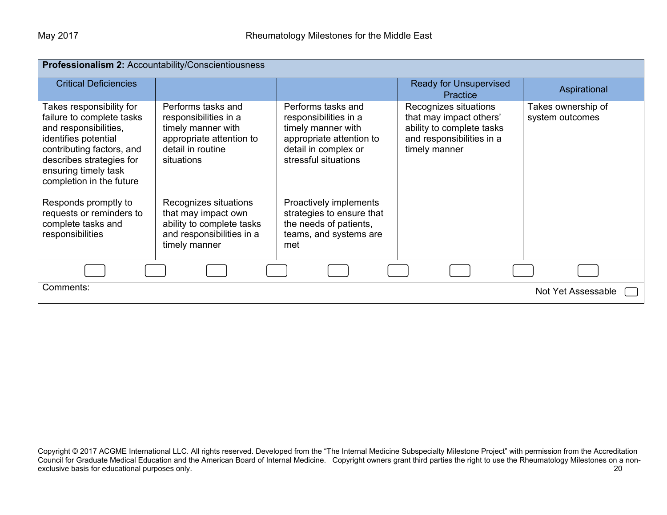| Professionalism 2: Accountability/Conscientiousness                                                                                                                                                                 |                                                                                                                                  |                                                                                                                                               |                                                                                                                             |                                       |  |
|---------------------------------------------------------------------------------------------------------------------------------------------------------------------------------------------------------------------|----------------------------------------------------------------------------------------------------------------------------------|-----------------------------------------------------------------------------------------------------------------------------------------------|-----------------------------------------------------------------------------------------------------------------------------|---------------------------------------|--|
| <b>Critical Deficiencies</b>                                                                                                                                                                                        |                                                                                                                                  |                                                                                                                                               | <b>Ready for Unsupervised</b><br>Practice                                                                                   | Aspirational                          |  |
| Takes responsibility for<br>failure to complete tasks<br>and responsibilities,<br>identifies potential<br>contributing factors, and<br>describes strategies for<br>ensuring timely task<br>completion in the future | Performs tasks and<br>responsibilities in a<br>timely manner with<br>appropriate attention to<br>detail in routine<br>situations | Performs tasks and<br>responsibilities in a<br>timely manner with<br>appropriate attention to<br>detail in complex or<br>stressful situations | Recognizes situations<br>that may impact others'<br>ability to complete tasks<br>and responsibilities in a<br>timely manner | Takes ownership of<br>system outcomes |  |
| Responds promptly to<br>requests or reminders to<br>complete tasks and<br>responsibilities                                                                                                                          | Recognizes situations<br>that may impact own<br>ability to complete tasks<br>and responsibilities in a<br>timely manner          | Proactively implements<br>strategies to ensure that<br>the needs of patients,<br>teams, and systems are<br>met                                |                                                                                                                             |                                       |  |
|                                                                                                                                                                                                                     |                                                                                                                                  |                                                                                                                                               |                                                                                                                             |                                       |  |
| Comments:                                                                                                                                                                                                           |                                                                                                                                  |                                                                                                                                               |                                                                                                                             | Not Yet Assessable                    |  |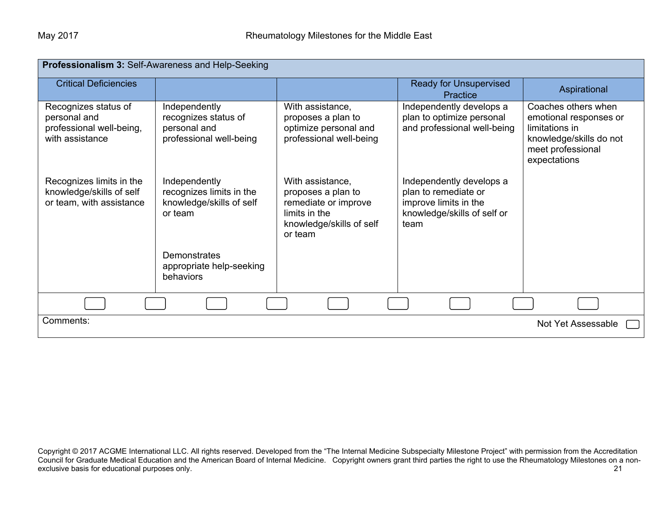| Professionalism 3: Self-Awareness and Help-Seeking                                  |                                                                                  |                                                                                                                        |                                                                                                                  |                                                                                                                                 |  |
|-------------------------------------------------------------------------------------|----------------------------------------------------------------------------------|------------------------------------------------------------------------------------------------------------------------|------------------------------------------------------------------------------------------------------------------|---------------------------------------------------------------------------------------------------------------------------------|--|
| <b>Critical Deficiencies</b>                                                        |                                                                                  |                                                                                                                        | <b>Ready for Unsupervised</b><br>Practice                                                                        | Aspirational                                                                                                                    |  |
| Recognizes status of<br>personal and<br>professional well-being,<br>with assistance | Independently<br>recognizes status of<br>personal and<br>professional well-being | With assistance,<br>proposes a plan to<br>optimize personal and<br>professional well-being                             | Independently develops a<br>plan to optimize personal<br>and professional well-being                             | Coaches others when<br>emotional responses or<br>limitations in<br>knowledge/skills do not<br>meet professional<br>expectations |  |
| Recognizes limits in the<br>knowledge/skills of self<br>or team, with assistance    | Independently<br>recognizes limits in the<br>knowledge/skills of self<br>or team | With assistance,<br>proposes a plan to<br>remediate or improve<br>limits in the<br>knowledge/skills of self<br>or team | Independently develops a<br>plan to remediate or<br>improve limits in the<br>knowledge/skills of self or<br>team |                                                                                                                                 |  |
|                                                                                     | Demonstrates<br>appropriate help-seeking<br>behaviors                            |                                                                                                                        |                                                                                                                  |                                                                                                                                 |  |
|                                                                                     |                                                                                  |                                                                                                                        |                                                                                                                  |                                                                                                                                 |  |
| Comments:                                                                           |                                                                                  |                                                                                                                        |                                                                                                                  | Not Yet Assessable                                                                                                              |  |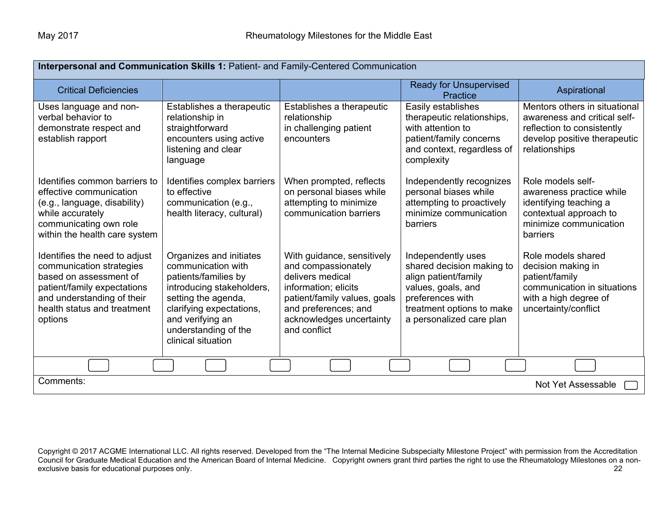| Interpersonal and Communication Skills 1: Patient- and Family-Centered Communication                                                                                                       |                                                                                                                                                                                                                         |                                                                                                                                                                                                   |                                                                                                                                                                            |                                                                                                                                              |
|--------------------------------------------------------------------------------------------------------------------------------------------------------------------------------------------|-------------------------------------------------------------------------------------------------------------------------------------------------------------------------------------------------------------------------|---------------------------------------------------------------------------------------------------------------------------------------------------------------------------------------------------|----------------------------------------------------------------------------------------------------------------------------------------------------------------------------|----------------------------------------------------------------------------------------------------------------------------------------------|
| <b>Critical Deficiencies</b>                                                                                                                                                               |                                                                                                                                                                                                                         |                                                                                                                                                                                                   | <b>Ready for Unsupervised</b><br>Practice                                                                                                                                  | Aspirational                                                                                                                                 |
| Uses language and non-<br>verbal behavior to<br>demonstrate respect and<br>establish rapport                                                                                               | Establishes a therapeutic<br>relationship in<br>straightforward<br>encounters using active<br>listening and clear<br>language                                                                                           | Establishes a therapeutic<br>relationship<br>in challenging patient<br>encounters                                                                                                                 | Easily establishes<br>therapeutic relationships,<br>with attention to<br>patient/family concerns<br>and context, regardless of<br>complexity                               | Mentors others in situational<br>awareness and critical self-<br>reflection to consistently<br>develop positive therapeutic<br>relationships |
| Identifies common barriers to<br>effective communication<br>(e.g., language, disability)<br>while accurately<br>communicating own role<br>within the health care system                    | Identifies complex barriers<br>to effective<br>communication (e.g.,<br>health literacy, cultural)                                                                                                                       | When prompted, reflects<br>on personal biases while<br>attempting to minimize<br>communication barriers                                                                                           | Independently recognizes<br>personal biases while<br>attempting to proactively<br>minimize communication<br>barriers                                                       | Role models self-<br>awareness practice while<br>identifying teaching a<br>contextual approach to<br>minimize communication<br>barriers      |
| Identifies the need to adjust<br>communication strategies<br>based on assessment of<br>patient/family expectations<br>and understanding of their<br>health status and treatment<br>options | Organizes and initiates<br>communication with<br>patients/families by<br>introducing stakeholders,<br>setting the agenda,<br>clarifying expectations,<br>and verifying an<br>understanding of the<br>clinical situation | With guidance, sensitively<br>and compassionately<br>delivers medical<br>information; elicits<br>patient/family values, goals<br>and preferences; and<br>acknowledges uncertainty<br>and conflict | Independently uses<br>shared decision making to<br>align patient/family<br>values, goals, and<br>preferences with<br>treatment options to make<br>a personalized care plan | Role models shared<br>decision making in<br>patient/family<br>communication in situations<br>with a high degree of<br>uncertainty/conflict   |
|                                                                                                                                                                                            |                                                                                                                                                                                                                         |                                                                                                                                                                                                   |                                                                                                                                                                            |                                                                                                                                              |
| Comments:<br>Not Yet Assessable                                                                                                                                                            |                                                                                                                                                                                                                         |                                                                                                                                                                                                   |                                                                                                                                                                            |                                                                                                                                              |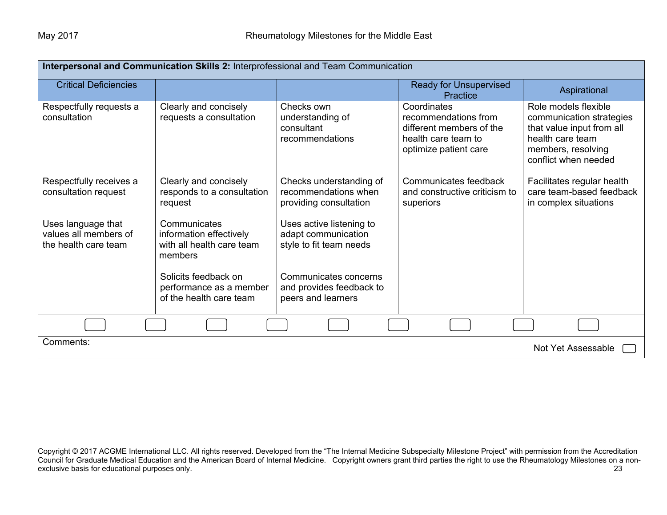| Interpersonal and Communication Skills 2: Interprofessional and Team Communication |                                                                                 |                                                                            |                                                                                                                 |                                                                                                                                                 |  |
|------------------------------------------------------------------------------------|---------------------------------------------------------------------------------|----------------------------------------------------------------------------|-----------------------------------------------------------------------------------------------------------------|-------------------------------------------------------------------------------------------------------------------------------------------------|--|
| <b>Critical Deficiencies</b>                                                       |                                                                                 |                                                                            | <b>Ready for Unsupervised</b><br>Practice                                                                       | Aspirational                                                                                                                                    |  |
| Respectfully requests a<br>consultation                                            | Clearly and concisely<br>requests a consultation                                | Checks own<br>understanding of<br>consultant<br>recommendations            | Coordinates<br>recommendations from<br>different members of the<br>health care team to<br>optimize patient care | Role models flexible<br>communication strategies<br>that value input from all<br>health care team<br>members, resolving<br>conflict when needed |  |
| Respectfully receives a<br>consultation request                                    | Clearly and concisely<br>responds to a consultation<br>request                  | Checks understanding of<br>recommendations when<br>providing consultation  | Communicates feedback<br>and constructive criticism to<br>superiors                                             | Facilitates regular health<br>care team-based feedback<br>in complex situations                                                                 |  |
| Uses language that<br>values all members of<br>the health care team                | Communicates<br>information effectively<br>with all health care team<br>members | Uses active listening to<br>adapt communication<br>style to fit team needs |                                                                                                                 |                                                                                                                                                 |  |
|                                                                                    | Solicits feedback on<br>performance as a member<br>of the health care team      | Communicates concerns<br>and provides feedback to<br>peers and learners    |                                                                                                                 |                                                                                                                                                 |  |
|                                                                                    |                                                                                 |                                                                            |                                                                                                                 |                                                                                                                                                 |  |
| Comments:<br>Not Yet Assessable                                                    |                                                                                 |                                                                            |                                                                                                                 |                                                                                                                                                 |  |